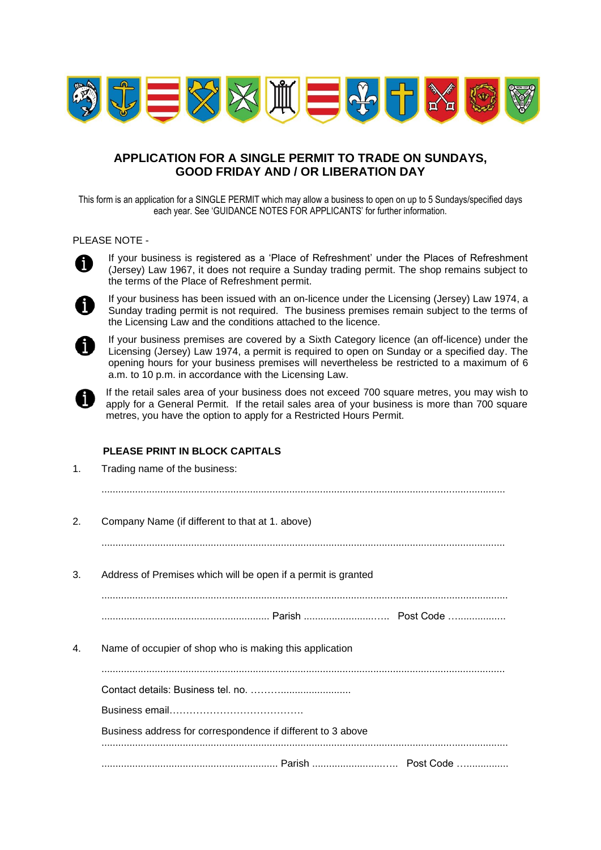

# **APPLICATION FOR A SINGLE PERMIT TO TRADE ON SUNDAYS, GOOD FRIDAY AND / OR LIBERATION DAY**

This form is an application for a SINGLE PERMIT which may allow a business to open on up to 5 Sundays/specified days each year. See 'GUIDANCE NOTES FOR APPLICANTS' for further information.

### PLEASE NOTE -



If your business is registered as a 'Place of Refreshment' under the Places of Refreshment (Jersey) Law 1967, it does not require a Sunday trading permit. The shop remains subject to the terms of the Place of Refreshment permit.



If your business has been issued with an on-licence under the Licensing (Jersey) Law 1974, a Sunday trading permit is not required. The business premises remain subject to the terms of the Licensing Law and the conditions attached to the licence.



If your business premises are covered by a Sixth Category licence (an off-licence) under the Licensing (Jersey) Law 1974, a permit is required to open on Sunday or a specified day. The opening hours for your business premises will nevertheless be restricted to a maximum of 6 a.m. to 10 p.m. in accordance with the Licensing Law.



If the retail sales area of your business does not exceed 700 square metres, you may wish to apply for a General Permit. If the retail sales area of your business is more than 700 square metres, you have the option to apply for a Restricted Hours Permit.

# **PLEASE PRINT IN BLOCK CAPITALS**

| 1. | Trading name of the business:                                 |  |  |
|----|---------------------------------------------------------------|--|--|
| 2. | Company Name (if different to that at 1. above)               |  |  |
| 3. | Address of Premises which will be open if a permit is granted |  |  |
|    |                                                               |  |  |
| 4. | Name of occupier of shop who is making this application       |  |  |
|    |                                                               |  |  |
|    |                                                               |  |  |
|    |                                                               |  |  |
|    | Business address for correspondence if different to 3 above   |  |  |
|    |                                                               |  |  |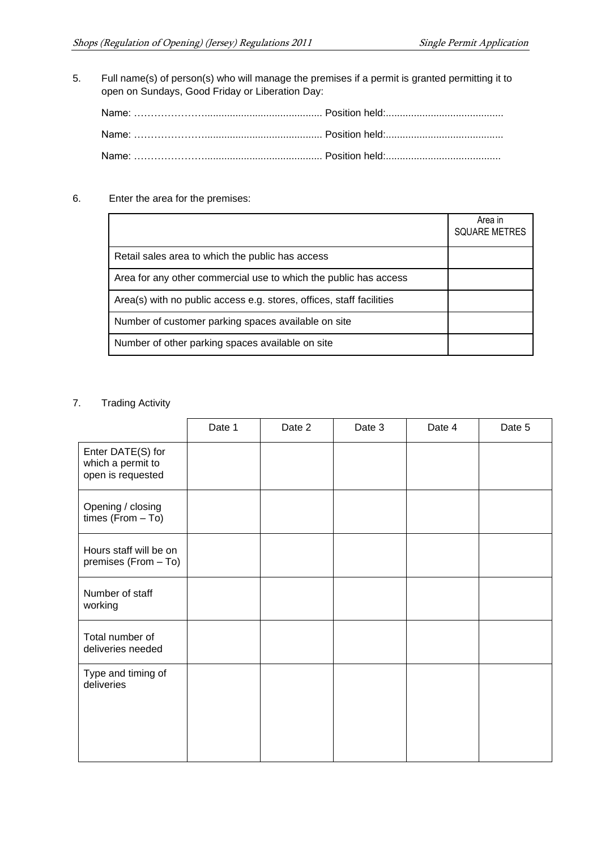5. Full name(s) of person(s) who will manage the premises if a permit is granted permitting it to open on Sundays, Good Friday or Liberation Day:

## 6. Enter the area for the premises:

|                                                                      | Area in<br><b>SQUARE METRES</b> |
|----------------------------------------------------------------------|---------------------------------|
| Retail sales area to which the public has access                     |                                 |
| Area for any other commercial use to which the public has access     |                                 |
| Area(s) with no public access e.g. stores, offices, staff facilities |                                 |
| Number of customer parking spaces available on site                  |                                 |
| Number of other parking spaces available on site                     |                                 |

### 7. Trading Activity

|                                                             | Date 1 | Date 2 | Date 3 | Date 4 | Date 5 |
|-------------------------------------------------------------|--------|--------|--------|--------|--------|
| Enter DATE(S) for<br>which a permit to<br>open is requested |        |        |        |        |        |
| Opening / closing<br>times $(From - To)$                    |        |        |        |        |        |
| Hours staff will be on<br>premises (From - To)              |        |        |        |        |        |
| Number of staff<br>working                                  |        |        |        |        |        |
| Total number of<br>deliveries needed                        |        |        |        |        |        |
| Type and timing of<br>deliveries                            |        |        |        |        |        |
|                                                             |        |        |        |        |        |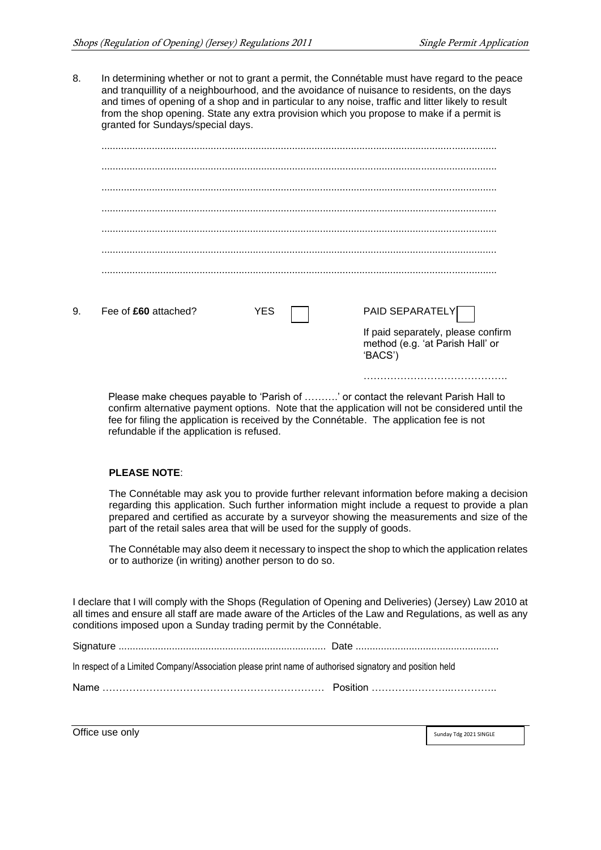If paid separately, please confirm method (e.g. 'at Parish Hall' or

…………………………………….

'BACS')

8. In determining whether or not to grant a permit, the Connétable must have regard to the peace and tranquillity of a neighbourhood, and the avoidance of nuisance to residents, on the days and times of opening of a shop and in particular to any noise, traffic and litter likely to result from the shop opening. State any extra provision which you propose to make if a permit is granted for Sundays/special days.

| 9. | Fee of £60 attached? | <b>YES</b> | PAID SEPARATELY |
|----|----------------------|------------|-----------------|

Please make cheques payable to 'Parish of ……….' or contact the relevant Parish Hall to confirm alternative payment options. Note that the application will not be considered until the fee for filing the application is received by the Connétable. The application fee is not refundable if the application is refused.

#### **PLEASE NOTE**:

The Connétable may ask you to provide further relevant information before making a decision regarding this application. Such further information might include a request to provide a plan prepared and certified as accurate by a surveyor showing the measurements and size of the part of the retail sales area that will be used for the supply of goods.

The Connétable may also deem it necessary to inspect the shop to which the application relates or to authorize (in writing) another person to do so.

I declare that I will comply with the Shops (Regulation of Opening and Deliveries) (Jersey) Law 2010 at all times and ensure all staff are made aware of the Articles of the Law and Regulations, as well as any conditions imposed upon a Sunday trading permit by the Connétable.

|--|--|

| In respect of a Limited Company/Association please print name of authorised signatory and position held |
|---------------------------------------------------------------------------------------------------------|
|---------------------------------------------------------------------------------------------------------|

| Nam |  |
|-----|--|
|-----|--|

Office use only Sunday Tdg 2021 SINGLE